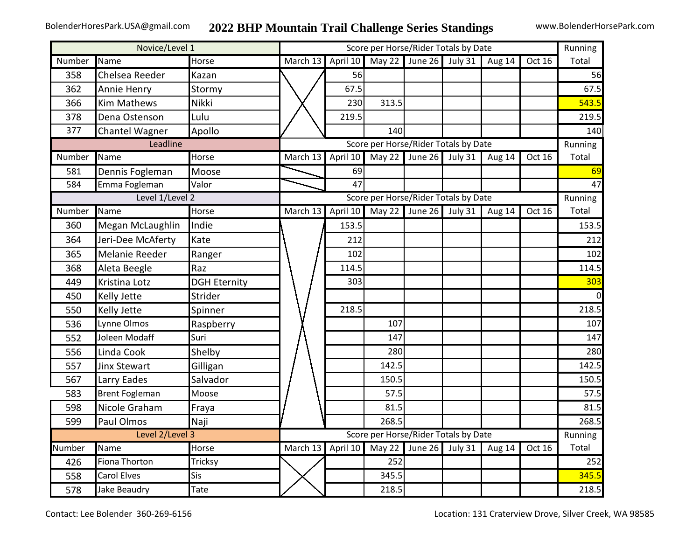## BolenderHoresPark.USA@gmail.com **2022 BHP Mountain Trail Challenge Series Standings** www.BolenderHorsePark.com

| Novice/Level 1 |                       |                     |          | Running                              |        |                |           |          |        |       |  |  |
|----------------|-----------------------|---------------------|----------|--------------------------------------|--------|----------------|-----------|----------|--------|-------|--|--|
| Number         | Name                  | Horse               | March 13 | April 10                             | May 22 | June 26        | July 31   | Aug 14   | Oct 16 | Total |  |  |
| 358            | Chelsea Reeder        | Kazan               |          | 56                                   |        |                |           |          |        | 56    |  |  |
| 362            | Annie Henry           | Stormy              |          | 67.5                                 |        |                |           |          |        | 67.5  |  |  |
| 366            | <b>Kim Mathews</b>    | Nikki               |          | 230                                  | 313.5  |                |           |          |        | 543.5 |  |  |
| 378            | Dena Ostenson         | Lulu                |          | 219.5                                |        |                |           |          |        | 219.5 |  |  |
| 377            | Chantel Wagner        | Apollo              |          |                                      | 140    |                |           |          |        | 140   |  |  |
|                | Leadline              |                     |          | Running                              |        |                |           |          |        |       |  |  |
| Number         | Name                  | Horse               | March 13 | April 10                             |        | May 22 June 26 | July $31$ | Aug 14   | Oct 16 | Total |  |  |
| 581            | Dennis Fogleman       | Moose               |          | 69                                   |        |                |           |          |        | 69    |  |  |
| 584            | Emma Fogleman         | Valor               |          | 47                                   |        |                |           |          |        | 47    |  |  |
|                | Level 1/Level 2       |                     |          | Score per Horse/Rider Totals by Date |        |                |           |          |        |       |  |  |
| Number         | Name                  | Horse               | March 13 | April 10                             | May 22 | June 26        | July 31   | Aug 14   | Oct 16 | Total |  |  |
| 360            | Megan McLaughlin      | Indie               |          | 153.5                                |        |                |           |          |        | 153.5 |  |  |
| 364            | Jeri-Dee McAferty     | Kate                |          | 212                                  |        |                |           |          |        | 212   |  |  |
| 365            | Melanie Reeder        | Ranger              |          | 102                                  |        |                |           |          |        | 102   |  |  |
| 368            | Aleta Beegle          | Raz                 |          | 114.5                                |        |                |           |          |        | 114.5 |  |  |
| 449            | Kristina Lotz         | <b>DGH Eternity</b> |          | 303                                  |        |                |           |          |        | 303   |  |  |
| 450            | Kelly Jette           | <b>Strider</b>      |          |                                      |        |                |           |          |        |       |  |  |
| 550            | Kelly Jette           | Spinner             |          | 218.5                                |        |                |           |          |        | 218.5 |  |  |
| 536            | Lynne Olmos           | Raspberry           |          |                                      | 107    |                |           |          |        | 107   |  |  |
| 552            | Joleen Modaff         | Suri                |          |                                      | 147    |                |           |          |        | 147   |  |  |
| 556            | Linda Cook            | Shelby              |          |                                      | 280    |                |           |          |        | 280   |  |  |
| 557            | <b>Jinx Stewart</b>   | Gilligan            |          |                                      | 142.5  |                |           |          |        | 142.5 |  |  |
| 567            | Larry Eades           | Salvador            |          |                                      | 150.5  |                |           |          |        | 150.5 |  |  |
| 583            | <b>Brent Fogleman</b> | Moose               |          |                                      | 57.5   |                |           |          |        | 57.5  |  |  |
| 598            | Nicole Graham         | Fraya               |          |                                      | 81.5   |                |           |          |        | 81.5  |  |  |
| 599            | Paul Olmos            | Naji                |          |                                      | 268.5  |                |           |          |        | 268.5 |  |  |
|                | Level 2/Level 3       |                     |          | Running                              |        |                |           |          |        |       |  |  |
| Number         | Name                  | Horse               | March 13 | April 10                             |        | May 22 June 26 | July 31   | Aug $14$ | Oct 16 | Total |  |  |
| 426            | Fiona Thorton         | Tricksy             |          |                                      | 252    |                |           |          |        | 252   |  |  |
| 558            | <b>Carol Elves</b>    | Sis                 |          |                                      | 345.5  |                |           |          |        | 345.5 |  |  |
| 578            | Jake Beaudry          | Tate                |          |                                      | 218.5  |                |           |          |        | 218.5 |  |  |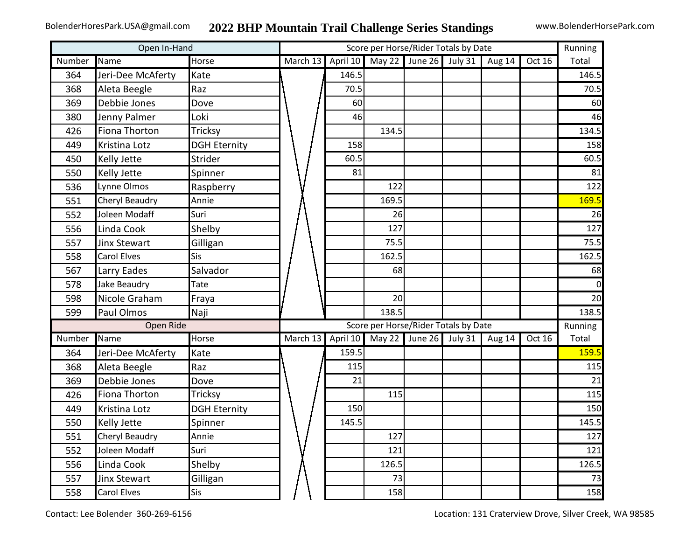| Open In-Hand |                     |                     | Score per Horse/Rider Totals by Date |          |        |                        |         |        |        |       |  |
|--------------|---------------------|---------------------|--------------------------------------|----------|--------|------------------------|---------|--------|--------|-------|--|
| Number       | Name                | Horse               | March 13                             | April 10 |        | May 22 June 26 July 31 |         | Aug 14 | Oct 16 | Total |  |
| 364          | Jeri-Dee McAferty   | Kate                |                                      | 146.5    |        |                        |         |        |        | 146.5 |  |
| 368          | Aleta Beegle        | Raz                 |                                      | 70.5     |        |                        |         |        |        | 70.5  |  |
| 369          | Debbie Jones        | Dove                |                                      | 60       |        |                        |         |        |        | 60    |  |
| 380          | Jenny Palmer        | Loki                |                                      | 46       |        |                        |         |        |        | 46    |  |
| 426          | Fiona Thorton       | Tricksy             |                                      |          | 134.5  |                        |         |        |        | 134.5 |  |
| 449          | Kristina Lotz       | <b>DGH Eternity</b> |                                      | 158      |        |                        |         |        |        | 158   |  |
| 450          | <b>Kelly Jette</b>  | Strider             |                                      | 60.5     |        |                        |         |        |        | 60.5  |  |
| 550          | <b>Kelly Jette</b>  | Spinner             |                                      | 81       |        |                        |         |        |        | 81    |  |
| 536          | Lynne Olmos         | Raspberry           |                                      |          | 122    |                        |         |        |        | 122   |  |
| 551          | Cheryl Beaudry      | Annie               |                                      |          | 169.5  |                        |         |        |        | 169.5 |  |
| 552          | Joleen Modaff       | Suri                |                                      |          | 26     |                        |         |        |        | 26    |  |
| 556          | Linda Cook          | Shelby              |                                      |          | 127    |                        |         |        |        | 127   |  |
| 557          | <b>Jinx Stewart</b> | Gilligan            |                                      |          | 75.5   |                        |         |        |        | 75.5  |  |
| 558          | <b>Carol Elves</b>  | <b>Sis</b>          |                                      |          | 162.5  |                        |         |        |        | 162.5 |  |
| 567          | Larry Eades         | Salvador            |                                      |          | 68     |                        |         |        |        | 68    |  |
| 578          | Jake Beaudry        | Tate                |                                      |          |        |                        |         |        |        |       |  |
| 598          | Nicole Graham       | Fraya               |                                      |          | 20     |                        |         |        |        | 20    |  |
| 599          | Paul Olmos          | Naji                |                                      |          | 138.5  |                        |         |        |        | 138.5 |  |
|              | <b>Open Ride</b>    |                     |                                      | Running  |        |                        |         |        |        |       |  |
| Number       | Name                | Horse               | March 13                             | April 10 | May 22 | June 26                | July 31 | Aug 14 | Oct 16 | Total |  |
| 364          | Jeri-Dee McAferty   | Kate                |                                      | 159.5    |        |                        |         |        |        | 159.5 |  |
| 368          | Aleta Beegle        | Raz                 |                                      | 115      |        |                        |         |        |        | 115   |  |
| 369          | Debbie Jones        | Dove                |                                      | 21       |        |                        |         |        |        | 21    |  |
| 426          | Fiona Thorton       | Tricksy             |                                      |          | 115    |                        |         |        |        | 115   |  |
| 449          | Kristina Lotz       | <b>DGH Eternity</b> |                                      | 150      |        |                        |         |        |        | 150   |  |
| 550          | <b>Kelly Jette</b>  | Spinner             |                                      | 145.5    |        |                        |         |        |        | 145.5 |  |
| 551          | Cheryl Beaudry      | Annie               |                                      |          | 127    |                        |         |        |        | 127   |  |
| 552          | Joleen Modaff       | Suri                |                                      |          | 121    |                        |         |        |        | 121   |  |
| 556          | Linda Cook          | Shelby              |                                      |          | 126.5  |                        |         |        |        | 126.5 |  |
| 557          | <b>Jinx Stewart</b> | Gilligan            |                                      |          | 73     |                        |         |        |        | 73    |  |
| 558          | <b>Carol Elves</b>  | Sis                 |                                      |          | 158    |                        |         |        |        | 158   |  |